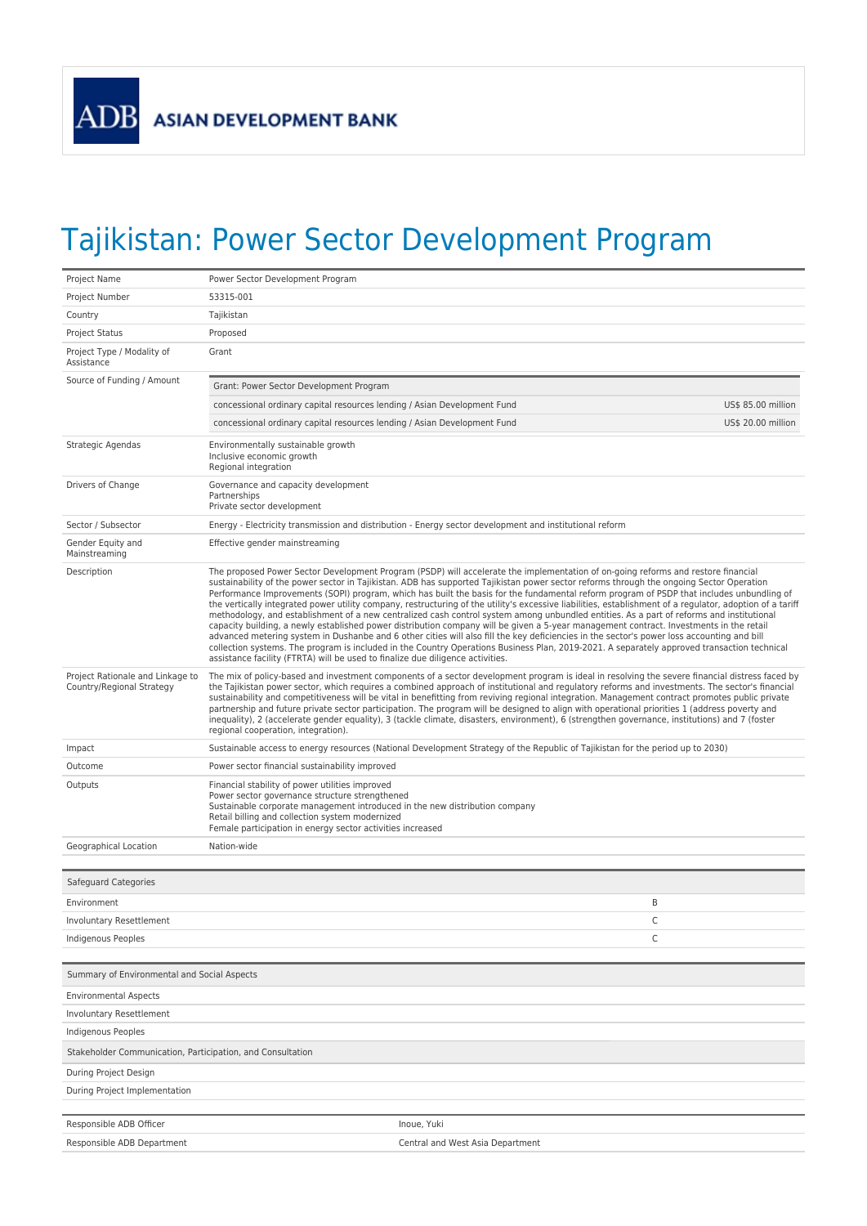## Tajikistan: Power Sector Development Program

| Project Number<br>53315-001<br>Country<br>Tajikistan<br>Proposed<br><b>Project Status</b><br>Project Type / Modality of<br>Grant<br>Assistance<br>Source of Funding / Amount<br>Grant: Power Sector Development Program<br>concessional ordinary capital resources lending / Asian Development Fund<br>US\$ 85.00 million<br>concessional ordinary capital resources lending / Asian Development Fund<br>US\$ 20.00 million<br>Environmentally sustainable growth<br>Strategic Agendas<br>Inclusive economic growth<br>Regional integration<br>Drivers of Change<br>Governance and capacity development<br>Partnerships<br>Private sector development<br>Sector / Subsector<br>Energy - Electricity transmission and distribution - Energy sector development and institutional reform<br>Effective gender mainstreaming<br>Gender Equity and<br>Mainstreaming<br>Description<br>The proposed Power Sector Development Program (PSDP) will accelerate the implementation of on-going reforms and restore financial<br>sustainability of the power sector in Tajikistan. ADB has supported Tajikistan power sector reforms through the ongoing Sector Operation<br>Performance Improvements (SOPI) program, which has built the basis for the fundamental reform program of PSDP that includes unbundling of<br>the vertically integrated power utility company, restructuring of the utility's excessive liabilities, establishment of a regulator, adoption of a tariff<br>methodology, and establishment of a new centralized cash control system among unbundled entities. As a part of reforms and institutional<br>capacity building, a newly established power distribution company will be given a 5-year management contract. Investments in the retail<br>advanced metering system in Dushanbe and 6 other cities will also fill the key deficiencies in the sector's power loss accounting and bill<br>collection systems. The program is included in the Country Operations Business Plan, 2019-2021. A separately approved transaction technical<br>assistance facility (FTRTA) will be used to finalize due diligence activities.<br>Project Rationale and Linkage to<br>The mix of policy-based and investment components of a sector development program is ideal in resolving the severe financial distress faced by<br>the Tajikistan power sector, which requires a combined approach of institutional and regulatory reforms and investments. The sector's financial<br>Country/Regional Strategy<br>sustainability and competitiveness will be vital in benefitting from reviving regional integration. Management contract promotes public private<br>partnership and future private sector participation. The program will be designed to align with operational priorities 1 (address poverty and<br>inequality), 2 (accelerate gender equality), 3 (tackle climate, disasters, environment), 6 (strengthen governance, institutions) and 7 (foster<br>regional cooperation, integration).<br>Sustainable access to energy resources (National Development Strategy of the Republic of Tajikistan for the period up to 2030)<br>Impact<br>Power sector financial sustainability improved<br>Outcome<br>Financial stability of power utilities improved<br>Outputs<br>Power sector governance structure strengthened | Project Name | Power Sector Development Program                                            |  |
|--------------------------------------------------------------------------------------------------------------------------------------------------------------------------------------------------------------------------------------------------------------------------------------------------------------------------------------------------------------------------------------------------------------------------------------------------------------------------------------------------------------------------------------------------------------------------------------------------------------------------------------------------------------------------------------------------------------------------------------------------------------------------------------------------------------------------------------------------------------------------------------------------------------------------------------------------------------------------------------------------------------------------------------------------------------------------------------------------------------------------------------------------------------------------------------------------------------------------------------------------------------------------------------------------------------------------------------------------------------------------------------------------------------------------------------------------------------------------------------------------------------------------------------------------------------------------------------------------------------------------------------------------------------------------------------------------------------------------------------------------------------------------------------------------------------------------------------------------------------------------------------------------------------------------------------------------------------------------------------------------------------------------------------------------------------------------------------------------------------------------------------------------------------------------------------------------------------------------------------------------------------------------------------------------------------------------------------------------------------------------------------------------------------------------------------------------------------------------------------------------------------------------------------------------------------------------------------------------------------------------------------------------------------------------------------------------------------------------------------------------------------------------------------------------------------------------------------------------------------------------------------------------------------------------------------------------------------------------------------------------------------------------------------------------------------------------------------------------------------------------------------------------------------------------------------------------------------------------------------------------------------------------------------------------------------------------------------------|--------------|-----------------------------------------------------------------------------|--|
|                                                                                                                                                                                                                                                                                                                                                                                                                                                                                                                                                                                                                                                                                                                                                                                                                                                                                                                                                                                                                                                                                                                                                                                                                                                                                                                                                                                                                                                                                                                                                                                                                                                                                                                                                                                                                                                                                                                                                                                                                                                                                                                                                                                                                                                                                                                                                                                                                                                                                                                                                                                                                                                                                                                                                                                                                                                                                                                                                                                                                                                                                                                                                                                                                                                                                                                                            |              |                                                                             |  |
|                                                                                                                                                                                                                                                                                                                                                                                                                                                                                                                                                                                                                                                                                                                                                                                                                                                                                                                                                                                                                                                                                                                                                                                                                                                                                                                                                                                                                                                                                                                                                                                                                                                                                                                                                                                                                                                                                                                                                                                                                                                                                                                                                                                                                                                                                                                                                                                                                                                                                                                                                                                                                                                                                                                                                                                                                                                                                                                                                                                                                                                                                                                                                                                                                                                                                                                                            |              |                                                                             |  |
|                                                                                                                                                                                                                                                                                                                                                                                                                                                                                                                                                                                                                                                                                                                                                                                                                                                                                                                                                                                                                                                                                                                                                                                                                                                                                                                                                                                                                                                                                                                                                                                                                                                                                                                                                                                                                                                                                                                                                                                                                                                                                                                                                                                                                                                                                                                                                                                                                                                                                                                                                                                                                                                                                                                                                                                                                                                                                                                                                                                                                                                                                                                                                                                                                                                                                                                                            |              |                                                                             |  |
|                                                                                                                                                                                                                                                                                                                                                                                                                                                                                                                                                                                                                                                                                                                                                                                                                                                                                                                                                                                                                                                                                                                                                                                                                                                                                                                                                                                                                                                                                                                                                                                                                                                                                                                                                                                                                                                                                                                                                                                                                                                                                                                                                                                                                                                                                                                                                                                                                                                                                                                                                                                                                                                                                                                                                                                                                                                                                                                                                                                                                                                                                                                                                                                                                                                                                                                                            |              |                                                                             |  |
|                                                                                                                                                                                                                                                                                                                                                                                                                                                                                                                                                                                                                                                                                                                                                                                                                                                                                                                                                                                                                                                                                                                                                                                                                                                                                                                                                                                                                                                                                                                                                                                                                                                                                                                                                                                                                                                                                                                                                                                                                                                                                                                                                                                                                                                                                                                                                                                                                                                                                                                                                                                                                                                                                                                                                                                                                                                                                                                                                                                                                                                                                                                                                                                                                                                                                                                                            |              |                                                                             |  |
|                                                                                                                                                                                                                                                                                                                                                                                                                                                                                                                                                                                                                                                                                                                                                                                                                                                                                                                                                                                                                                                                                                                                                                                                                                                                                                                                                                                                                                                                                                                                                                                                                                                                                                                                                                                                                                                                                                                                                                                                                                                                                                                                                                                                                                                                                                                                                                                                                                                                                                                                                                                                                                                                                                                                                                                                                                                                                                                                                                                                                                                                                                                                                                                                                                                                                                                                            |              |                                                                             |  |
|                                                                                                                                                                                                                                                                                                                                                                                                                                                                                                                                                                                                                                                                                                                                                                                                                                                                                                                                                                                                                                                                                                                                                                                                                                                                                                                                                                                                                                                                                                                                                                                                                                                                                                                                                                                                                                                                                                                                                                                                                                                                                                                                                                                                                                                                                                                                                                                                                                                                                                                                                                                                                                                                                                                                                                                                                                                                                                                                                                                                                                                                                                                                                                                                                                                                                                                                            |              |                                                                             |  |
|                                                                                                                                                                                                                                                                                                                                                                                                                                                                                                                                                                                                                                                                                                                                                                                                                                                                                                                                                                                                                                                                                                                                                                                                                                                                                                                                                                                                                                                                                                                                                                                                                                                                                                                                                                                                                                                                                                                                                                                                                                                                                                                                                                                                                                                                                                                                                                                                                                                                                                                                                                                                                                                                                                                                                                                                                                                                                                                                                                                                                                                                                                                                                                                                                                                                                                                                            |              |                                                                             |  |
|                                                                                                                                                                                                                                                                                                                                                                                                                                                                                                                                                                                                                                                                                                                                                                                                                                                                                                                                                                                                                                                                                                                                                                                                                                                                                                                                                                                                                                                                                                                                                                                                                                                                                                                                                                                                                                                                                                                                                                                                                                                                                                                                                                                                                                                                                                                                                                                                                                                                                                                                                                                                                                                                                                                                                                                                                                                                                                                                                                                                                                                                                                                                                                                                                                                                                                                                            |              |                                                                             |  |
|                                                                                                                                                                                                                                                                                                                                                                                                                                                                                                                                                                                                                                                                                                                                                                                                                                                                                                                                                                                                                                                                                                                                                                                                                                                                                                                                                                                                                                                                                                                                                                                                                                                                                                                                                                                                                                                                                                                                                                                                                                                                                                                                                                                                                                                                                                                                                                                                                                                                                                                                                                                                                                                                                                                                                                                                                                                                                                                                                                                                                                                                                                                                                                                                                                                                                                                                            |              |                                                                             |  |
|                                                                                                                                                                                                                                                                                                                                                                                                                                                                                                                                                                                                                                                                                                                                                                                                                                                                                                                                                                                                                                                                                                                                                                                                                                                                                                                                                                                                                                                                                                                                                                                                                                                                                                                                                                                                                                                                                                                                                                                                                                                                                                                                                                                                                                                                                                                                                                                                                                                                                                                                                                                                                                                                                                                                                                                                                                                                                                                                                                                                                                                                                                                                                                                                                                                                                                                                            |              |                                                                             |  |
|                                                                                                                                                                                                                                                                                                                                                                                                                                                                                                                                                                                                                                                                                                                                                                                                                                                                                                                                                                                                                                                                                                                                                                                                                                                                                                                                                                                                                                                                                                                                                                                                                                                                                                                                                                                                                                                                                                                                                                                                                                                                                                                                                                                                                                                                                                                                                                                                                                                                                                                                                                                                                                                                                                                                                                                                                                                                                                                                                                                                                                                                                                                                                                                                                                                                                                                                            |              |                                                                             |  |
|                                                                                                                                                                                                                                                                                                                                                                                                                                                                                                                                                                                                                                                                                                                                                                                                                                                                                                                                                                                                                                                                                                                                                                                                                                                                                                                                                                                                                                                                                                                                                                                                                                                                                                                                                                                                                                                                                                                                                                                                                                                                                                                                                                                                                                                                                                                                                                                                                                                                                                                                                                                                                                                                                                                                                                                                                                                                                                                                                                                                                                                                                                                                                                                                                                                                                                                                            |              |                                                                             |  |
|                                                                                                                                                                                                                                                                                                                                                                                                                                                                                                                                                                                                                                                                                                                                                                                                                                                                                                                                                                                                                                                                                                                                                                                                                                                                                                                                                                                                                                                                                                                                                                                                                                                                                                                                                                                                                                                                                                                                                                                                                                                                                                                                                                                                                                                                                                                                                                                                                                                                                                                                                                                                                                                                                                                                                                                                                                                                                                                                                                                                                                                                                                                                                                                                                                                                                                                                            |              |                                                                             |  |
|                                                                                                                                                                                                                                                                                                                                                                                                                                                                                                                                                                                                                                                                                                                                                                                                                                                                                                                                                                                                                                                                                                                                                                                                                                                                                                                                                                                                                                                                                                                                                                                                                                                                                                                                                                                                                                                                                                                                                                                                                                                                                                                                                                                                                                                                                                                                                                                                                                                                                                                                                                                                                                                                                                                                                                                                                                                                                                                                                                                                                                                                                                                                                                                                                                                                                                                                            |              |                                                                             |  |
| Retail billing and collection system modernized<br>Female participation in energy sector activities increased                                                                                                                                                                                                                                                                                                                                                                                                                                                                                                                                                                                                                                                                                                                                                                                                                                                                                                                                                                                                                                                                                                                                                                                                                                                                                                                                                                                                                                                                                                                                                                                                                                                                                                                                                                                                                                                                                                                                                                                                                                                                                                                                                                                                                                                                                                                                                                                                                                                                                                                                                                                                                                                                                                                                                                                                                                                                                                                                                                                                                                                                                                                                                                                                                              |              | Sustainable corporate management introduced in the new distribution company |  |
| Nation-wide<br>Geographical Location                                                                                                                                                                                                                                                                                                                                                                                                                                                                                                                                                                                                                                                                                                                                                                                                                                                                                                                                                                                                                                                                                                                                                                                                                                                                                                                                                                                                                                                                                                                                                                                                                                                                                                                                                                                                                                                                                                                                                                                                                                                                                                                                                                                                                                                                                                                                                                                                                                                                                                                                                                                                                                                                                                                                                                                                                                                                                                                                                                                                                                                                                                                                                                                                                                                                                                       |              |                                                                             |  |
|                                                                                                                                                                                                                                                                                                                                                                                                                                                                                                                                                                                                                                                                                                                                                                                                                                                                                                                                                                                                                                                                                                                                                                                                                                                                                                                                                                                                                                                                                                                                                                                                                                                                                                                                                                                                                                                                                                                                                                                                                                                                                                                                                                                                                                                                                                                                                                                                                                                                                                                                                                                                                                                                                                                                                                                                                                                                                                                                                                                                                                                                                                                                                                                                                                                                                                                                            |              |                                                                             |  |
| Safeguard Categories                                                                                                                                                                                                                                                                                                                                                                                                                                                                                                                                                                                                                                                                                                                                                                                                                                                                                                                                                                                                                                                                                                                                                                                                                                                                                                                                                                                                                                                                                                                                                                                                                                                                                                                                                                                                                                                                                                                                                                                                                                                                                                                                                                                                                                                                                                                                                                                                                                                                                                                                                                                                                                                                                                                                                                                                                                                                                                                                                                                                                                                                                                                                                                                                                                                                                                                       |              |                                                                             |  |
| B<br>Environment                                                                                                                                                                                                                                                                                                                                                                                                                                                                                                                                                                                                                                                                                                                                                                                                                                                                                                                                                                                                                                                                                                                                                                                                                                                                                                                                                                                                                                                                                                                                                                                                                                                                                                                                                                                                                                                                                                                                                                                                                                                                                                                                                                                                                                                                                                                                                                                                                                                                                                                                                                                                                                                                                                                                                                                                                                                                                                                                                                                                                                                                                                                                                                                                                                                                                                                           |              |                                                                             |  |
| Involuntary Resettlement<br>С                                                                                                                                                                                                                                                                                                                                                                                                                                                                                                                                                                                                                                                                                                                                                                                                                                                                                                                                                                                                                                                                                                                                                                                                                                                                                                                                                                                                                                                                                                                                                                                                                                                                                                                                                                                                                                                                                                                                                                                                                                                                                                                                                                                                                                                                                                                                                                                                                                                                                                                                                                                                                                                                                                                                                                                                                                                                                                                                                                                                                                                                                                                                                                                                                                                                                                              |              |                                                                             |  |
| C<br>Indigenous Peoples                                                                                                                                                                                                                                                                                                                                                                                                                                                                                                                                                                                                                                                                                                                                                                                                                                                                                                                                                                                                                                                                                                                                                                                                                                                                                                                                                                                                                                                                                                                                                                                                                                                                                                                                                                                                                                                                                                                                                                                                                                                                                                                                                                                                                                                                                                                                                                                                                                                                                                                                                                                                                                                                                                                                                                                                                                                                                                                                                                                                                                                                                                                                                                                                                                                                                                                    |              |                                                                             |  |
| Summary of Environmental and Social Aspects                                                                                                                                                                                                                                                                                                                                                                                                                                                                                                                                                                                                                                                                                                                                                                                                                                                                                                                                                                                                                                                                                                                                                                                                                                                                                                                                                                                                                                                                                                                                                                                                                                                                                                                                                                                                                                                                                                                                                                                                                                                                                                                                                                                                                                                                                                                                                                                                                                                                                                                                                                                                                                                                                                                                                                                                                                                                                                                                                                                                                                                                                                                                                                                                                                                                                                |              |                                                                             |  |
| <b>Environmental Aspects</b>                                                                                                                                                                                                                                                                                                                                                                                                                                                                                                                                                                                                                                                                                                                                                                                                                                                                                                                                                                                                                                                                                                                                                                                                                                                                                                                                                                                                                                                                                                                                                                                                                                                                                                                                                                                                                                                                                                                                                                                                                                                                                                                                                                                                                                                                                                                                                                                                                                                                                                                                                                                                                                                                                                                                                                                                                                                                                                                                                                                                                                                                                                                                                                                                                                                                                                               |              |                                                                             |  |
| <b>Involuntary Resettlement</b>                                                                                                                                                                                                                                                                                                                                                                                                                                                                                                                                                                                                                                                                                                                                                                                                                                                                                                                                                                                                                                                                                                                                                                                                                                                                                                                                                                                                                                                                                                                                                                                                                                                                                                                                                                                                                                                                                                                                                                                                                                                                                                                                                                                                                                                                                                                                                                                                                                                                                                                                                                                                                                                                                                                                                                                                                                                                                                                                                                                                                                                                                                                                                                                                                                                                                                            |              |                                                                             |  |
| Indigenous Peoples                                                                                                                                                                                                                                                                                                                                                                                                                                                                                                                                                                                                                                                                                                                                                                                                                                                                                                                                                                                                                                                                                                                                                                                                                                                                                                                                                                                                                                                                                                                                                                                                                                                                                                                                                                                                                                                                                                                                                                                                                                                                                                                                                                                                                                                                                                                                                                                                                                                                                                                                                                                                                                                                                                                                                                                                                                                                                                                                                                                                                                                                                                                                                                                                                                                                                                                         |              |                                                                             |  |
| Stakeholder Communication, Participation, and Consultation                                                                                                                                                                                                                                                                                                                                                                                                                                                                                                                                                                                                                                                                                                                                                                                                                                                                                                                                                                                                                                                                                                                                                                                                                                                                                                                                                                                                                                                                                                                                                                                                                                                                                                                                                                                                                                                                                                                                                                                                                                                                                                                                                                                                                                                                                                                                                                                                                                                                                                                                                                                                                                                                                                                                                                                                                                                                                                                                                                                                                                                                                                                                                                                                                                                                                 |              |                                                                             |  |
| During Project Design                                                                                                                                                                                                                                                                                                                                                                                                                                                                                                                                                                                                                                                                                                                                                                                                                                                                                                                                                                                                                                                                                                                                                                                                                                                                                                                                                                                                                                                                                                                                                                                                                                                                                                                                                                                                                                                                                                                                                                                                                                                                                                                                                                                                                                                                                                                                                                                                                                                                                                                                                                                                                                                                                                                                                                                                                                                                                                                                                                                                                                                                                                                                                                                                                                                                                                                      |              |                                                                             |  |
| During Project Implementation                                                                                                                                                                                                                                                                                                                                                                                                                                                                                                                                                                                                                                                                                                                                                                                                                                                                                                                                                                                                                                                                                                                                                                                                                                                                                                                                                                                                                                                                                                                                                                                                                                                                                                                                                                                                                                                                                                                                                                                                                                                                                                                                                                                                                                                                                                                                                                                                                                                                                                                                                                                                                                                                                                                                                                                                                                                                                                                                                                                                                                                                                                                                                                                                                                                                                                              |              |                                                                             |  |
| Responsible ADB Officer<br>Inoue, Yuki                                                                                                                                                                                                                                                                                                                                                                                                                                                                                                                                                                                                                                                                                                                                                                                                                                                                                                                                                                                                                                                                                                                                                                                                                                                                                                                                                                                                                                                                                                                                                                                                                                                                                                                                                                                                                                                                                                                                                                                                                                                                                                                                                                                                                                                                                                                                                                                                                                                                                                                                                                                                                                                                                                                                                                                                                                                                                                                                                                                                                                                                                                                                                                                                                                                                                                     |              |                                                                             |  |
| Responsible ADB Department<br>Central and West Asia Department                                                                                                                                                                                                                                                                                                                                                                                                                                                                                                                                                                                                                                                                                                                                                                                                                                                                                                                                                                                                                                                                                                                                                                                                                                                                                                                                                                                                                                                                                                                                                                                                                                                                                                                                                                                                                                                                                                                                                                                                                                                                                                                                                                                                                                                                                                                                                                                                                                                                                                                                                                                                                                                                                                                                                                                                                                                                                                                                                                                                                                                                                                                                                                                                                                                                             |              |                                                                             |  |